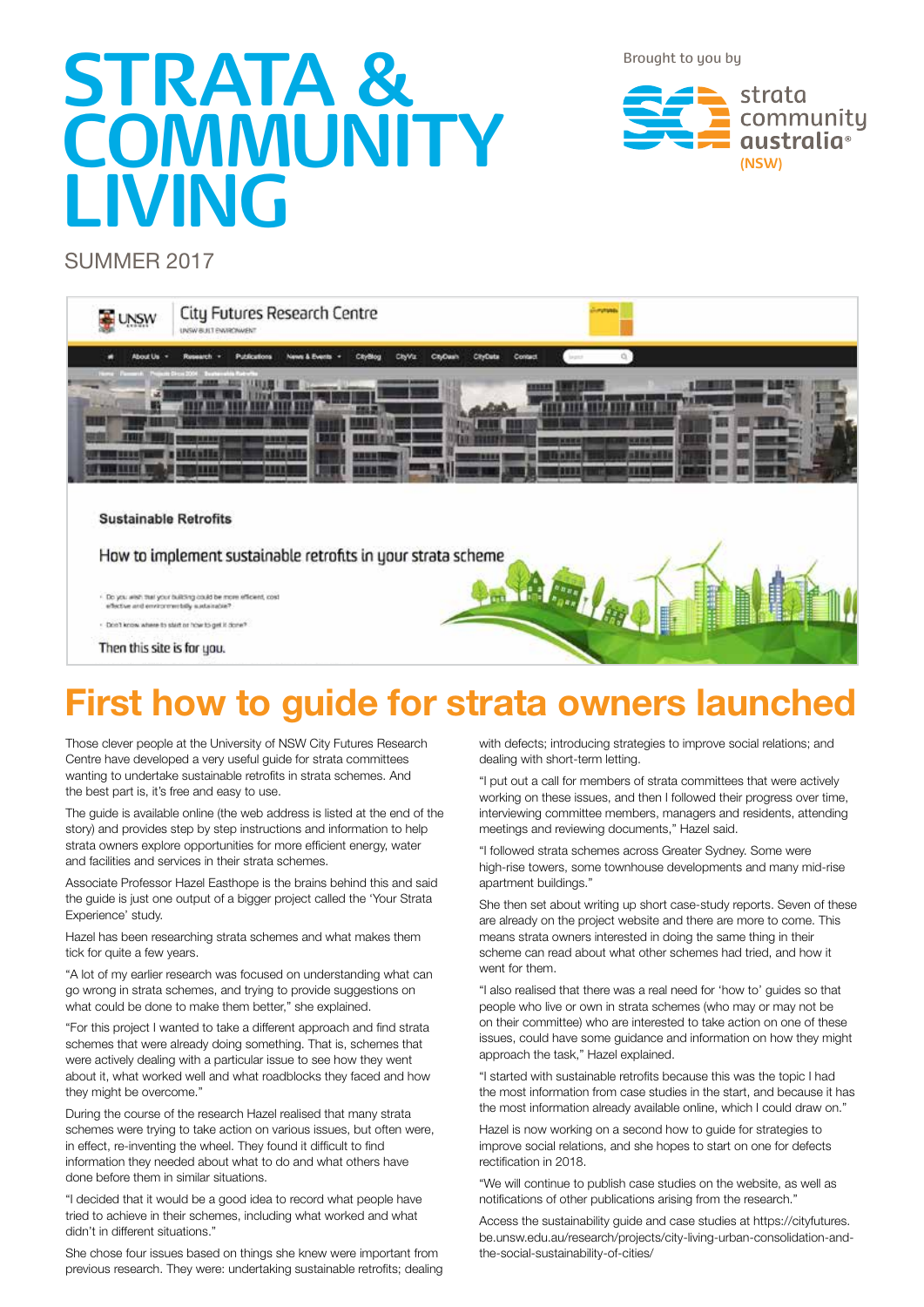Brought to you by

# **STRATA & COMMUNITY LIVING**

strata community qustralia<sup>®</sup> **(NSW)**

#### SUMMER 2017



## **First how to guide for strata owners launched**

Those clever people at the University of NSW City Futures Research Centre have developed a very useful guide for strata committees wanting to undertake sustainable retrofits in strata schemes. And the best part is, it's free and easy to use.

The guide is available online (the web address is listed at the end of the story) and provides step by step instructions and information to help strata owners explore opportunities for more efficient energy, water and facilities and services in their strata schemes.

Associate Professor Hazel Easthope is the brains behind this and said the guide is just one output of a bigger project called the 'Your Strata Experience' study.

Hazel has been researching strata schemes and what makes them tick for quite a few years.

"A lot of my earlier research was focused on understanding what can go wrong in strata schemes, and trying to provide suggestions on what could be done to make them better," she explained.

"For this project I wanted to take a different approach and find strata schemes that were already doing something. That is, schemes that were actively dealing with a particular issue to see how they went about it, what worked well and what roadblocks they faced and how they might be overcome."

During the course of the research Hazel realised that many strata schemes were trying to take action on various issues, but often were, in effect, re-inventing the wheel. They found it difficult to find information they needed about what to do and what others have done before them in similar situations.

"I decided that it would be a good idea to record what people have tried to achieve in their schemes, including what worked and what didn't in different situations."

She chose four issues based on things she knew were important from previous research. They were: undertaking sustainable retrofits; dealing with defects; introducing strategies to improve social relations; and dealing with short-term letting.

"I put out a call for members of strata committees that were actively working on these issues, and then I followed their progress over time, interviewing committee members, managers and residents, attending meetings and reviewing documents," Hazel said.

"I followed strata schemes across Greater Sydney. Some were high-rise towers, some townhouse developments and many mid-rise apartment buildings."

She then set about writing up short case-study reports. Seven of these are already on the project website and there are more to come. This means strata owners interested in doing the same thing in their scheme can read about what other schemes had tried, and how it went for them.

"I also realised that there was a real need for 'how to' guides so that people who live or own in strata schemes (who may or may not be on their committee) who are interested to take action on one of these issues, could have some guidance and information on how they might approach the task," Hazel explained.

"I started with sustainable retrofits because this was the topic I had the most information from case studies in the start, and because it has the most information already available online, which I could draw on."

Hazel is now working on a second how to guide for strategies to improve social relations, and she hopes to start on one for defects rectification in 2018.

"We will continue to publish case studies on the website, as well as notifications of other publications arising from the research."

Access the sustainability guide and case studies at https://cityfutures. be.unsw.edu.au/research/projects/city-living-urban-consolidation-andthe-social-sustainability-of-cities/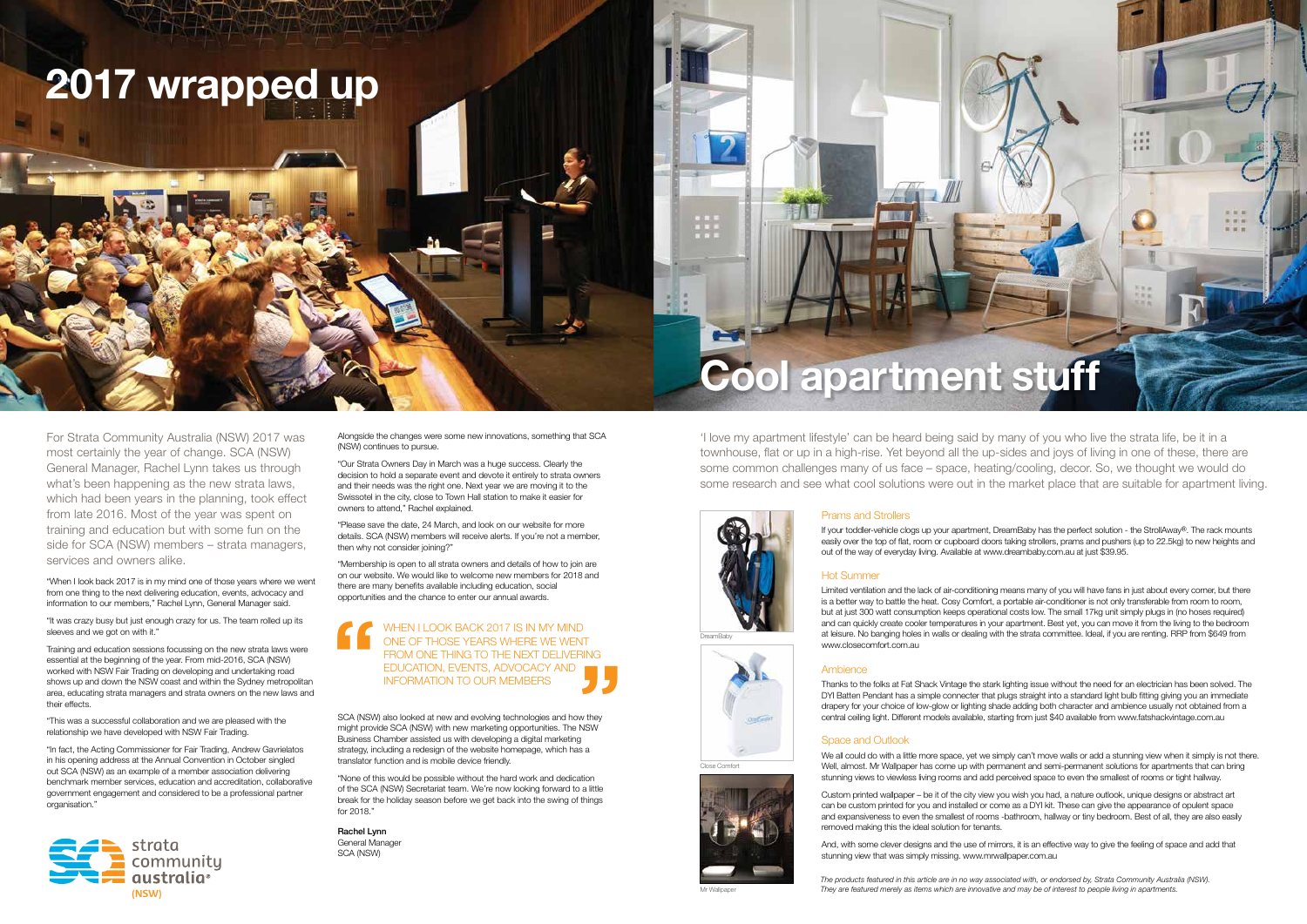

## **2017 wrapped up**

For Strata Community Australia (NSW) 2017 was most certainly the year of change. SCA (NSW) General Manager, Rachel Lynn takes us through what's been happening as the new strata laws, which had been years in the planning, took effect from late 2016. Most of the year was spent on training and education but with some fun on the side for SCA (NSW) members – strata managers, services and owners alike.

"When I look back 2017 is in my mind one of those years where we went from one thing to the next delivering education, events, advocacy and information to our members," Rachel Lynn, General Manager said.

"In fact, the Acting Commissioner for Fair Trading, Andrew Gavrielatos in his opening address at the Annual Convention in October singled out SCA (NSW) as an example of a member association delivering benchmark member services, education and accreditation, collaborative government engagement and considered to be a professional partner organisation.'

"It was crazy busy but just enough crazy for us. The team rolled up its sleeves and we got on with it."

Training and education sessions focussing on the new strata laws were essential at the beginning of the year. From mid-2016, SCA (NSW) worked with NSW Fair Trading on developing and undertaking road shows up and down the NSW coast and within the Sydney metropolitan area, educating strata managers and strata owners on the new laws and their effects.

"This was a successful collaboration and we are pleased with the relationship we have developed with NSW Fair Trading.

SCA (NSW) also looked at new and evolving technologies and how they might provide SCA (NSW) with new marketing opportunities. The NSW Business Chamber assisted us with developing a digital marketing strategy, including a redesign of the website homepage, which has a translator function and is mobile device friendly. **1** 

Alongside the changes were some new innovations, something that SCA (NSW) continues to pursue.

> If your toddler-vehicle clogs up your apartment, DreamBaby has the perfect solution - the StrollAway®. The rack mounts easily over the top of flat, room or cupboard doors taking strollers, prams and pushers (up to 22.5kg) to new heights and out of the way of everyday living. Available at www.dreambaby.com.au at just \$39.95.

"Our Strata Owners Day in March was a huge success. Clearly the decision to hold a separate event and devote it entirely to strata owners and their needs was the right one. Next year we are moving it to the Swissotel in the city, close to Town Hall station to make it easier for owners to attend," Rachel explained.

"Please save the date, 24 March, and look on our website for more details. SCA (NSW) members will receive alerts. If you're not a member, then why not consider joining?"

"Membership is open to all strata owners and details of how to join are on our website. We would like to welcome new members for 2018 and there are many benefits available including education, social opportunities and the chance to enter our annual awards.

> We all could do with a little more space, yet we simply can't move walls or add a stunning view when it simply is not there. Well, almost. Mr Wallpaper has come up with permanent and semi-permanent solutions for apartments that can bring stunning views to viewless living rooms and add perceived space to even the smallest of rooms or tight hallway.

"None of this would be possible without the hard work and dedication of the SCA (NSW) Secretariat team. We're now looking forward to a little break for the holiday season before we get back into the swing of things for 2018."

Rachel Lynn General Manager SCA (NSW)

#### Prams and Strollers

#### Hot Summer

Limited ventilation and the lack of air-conditioning means many of you will have fans in just about every corner, but there is a better way to battle the heat. Cosy Comfort, a portable air-conditioner is not only transferable from room to room, but at just 300 watt consumption keeps operational costs low. The small 17kg unit simply plugs in (no hoses required) and can quickly create cooler temperatures in your apartment. Best yet, you can move it from the living to the bedroom at leisure. No banging holes in walls or dealing with the strata committee. Ideal, if you are renting. RRP from \$649 from www.closecomfort.com.au

#### Ambience

Thanks to the folks at Fat Shack Vintage the stark lighting issue without the need for an electrician has been solved. The DYI Batten Pendant has a simple connecter that plugs straight into a standard light bulb fitting giving you an immediate drapery for your choice of low-glow or lighting shade adding both character and ambience usually not obtained from a central ceiling light. Different models available, starting from just \$40 available from www.fatshackvintage.com.au

#### Space and Outlook

Custom printed wallpaper – be it of the city view you wish you had, a nature outlook, unique designs or abstract art can be custom printed for you and installed or come as a DYI kit. These can give the appearance of opulent space and expansiveness to even the smallest of rooms -bathroom, hallway or tiny bedroom. Best of all, they are also easily removed making this the ideal solution for tenants.

And, with some clever designs and the use of mirrors, it is an effective way to give the feeling of space and add that stunning view that was simply missing. www.mrwallpaper.com.au

'I love my apartment lifestyle' can be heard being said by many of you who live the strata life, be it in a townhouse, flat or up in a high-rise. Yet beyond all the up-sides and joys of living in one of these, there are some common challenges many of us face – space, heating/cooling, decor. So, we thought we would do some research and see what cool solutions were out in the market place that are suitable for apartment living.

#### WHEN I LOOK BACK 2017 IS IN MY MIND ONE OF THOSE YEARS WHERE WE WENT FROM ONE THING TO THE NEXT DELIVERING EDUCATION, EVENTS, ADVOCACY AND INFORMATION TO OUR MEMBERS **"**

DreamBaby

Close Comfort





# **Cool apartment stuff**

*The products featured in this article are in no way associated with, or endorsed by, Strata Community Australia (NSW). They are featured merely as items which are innovative and may be of interest to people living in apartments.*